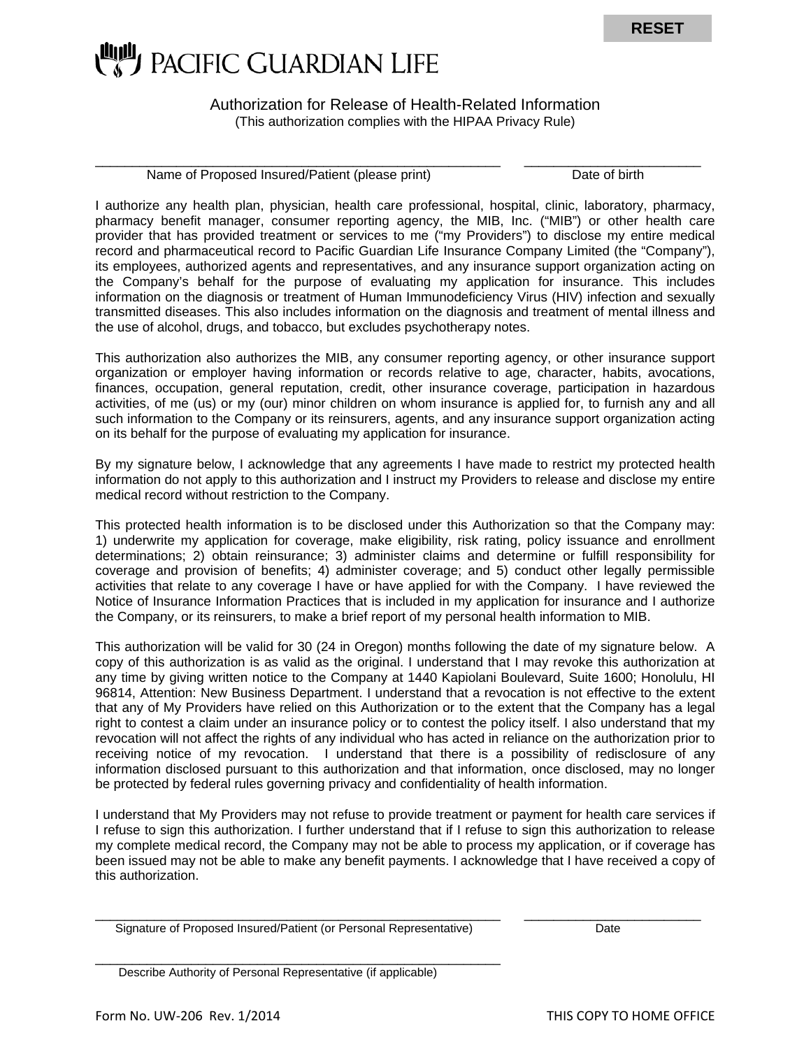

Authorization for Release of Health-Related Information (This authorization complies with the HIPAA Privacy Rule)

\_\_\_\_\_\_\_\_\_\_\_\_\_\_\_\_\_\_\_\_\_\_\_\_\_\_\_\_\_\_\_\_\_\_\_\_\_\_\_\_\_\_\_\_\_\_\_\_\_\_\_\_\_\_\_ \_\_\_\_\_\_\_\_\_\_\_\_\_\_\_\_\_\_\_\_\_\_\_\_

Name of Proposed Insured/Patient (please print) Date of birth

I authorize any health plan, physician, health care professional, hospital, clinic, laboratory, pharmacy, pharmacy benefit manager, consumer reporting agency, the MIB, Inc. ("MIB") or other health care provider that has provided treatment or services to me ("my Providers") to disclose my entire medical record and pharmaceutical record to Pacific Guardian Life Insurance Company Limited (the "Company"), its employees, authorized agents and representatives, and any insurance support organization acting on the Company's behalf for the purpose of evaluating my application for insurance. This includes information on the diagnosis or treatment of Human Immunodeficiency Virus (HIV) infection and sexually transmitted diseases. This also includes information on the diagnosis and treatment of mental illness and the use of alcohol, drugs, and tobacco, but excludes psychotherapy notes.

This authorization also authorizes the MIB, any consumer reporting agency, or other insurance support organization or employer having information or records relative to age, character, habits, avocations, finances, occupation, general reputation, credit, other insurance coverage, participation in hazardous activities, of me (us) or my (our) minor children on whom insurance is applied for, to furnish any and all such information to the Company or its reinsurers, agents, and any insurance support organization acting on its behalf for the purpose of evaluating my application for insurance.

By my signature below, I acknowledge that any agreements I have made to restrict my protected health information do not apply to this authorization and I instruct my Providers to release and disclose my entire medical record without restriction to the Company.

This protected health information is to be disclosed under this Authorization so that the Company may: 1) underwrite my application for coverage, make eligibility, risk rating, policy issuance and enrollment determinations; 2) obtain reinsurance; 3) administer claims and determine or fulfill responsibility for coverage and provision of benefits; 4) administer coverage; and 5) conduct other legally permissible activities that relate to any coverage I have or have applied for with the Company. I have reviewed the Notice of Insurance Information Practices that is included in my application for insurance and I authorize the Company, or its reinsurers, to make a brief report of my personal health information to MIB.

This authorization will be valid for 30 (24 in Oregon) months following the date of my signature below. A copy of this authorization is as valid as the original. I understand that I may revoke this authorization at any time by giving written notice to the Company at 1440 Kapiolani Boulevard, Suite 1600; Honolulu, HI 96814, Attention: New Business Department. I understand that a revocation is not effective to the extent that any of My Providers have relied on this Authorization or to the extent that the Company has a legal right to contest a claim under an insurance policy or to contest the policy itself. I also understand that my revocation will not affect the rights of any individual who has acted in reliance on the authorization prior to receiving notice of my revocation. I understand that there is a possibility of redisclosure of any information disclosed pursuant to this authorization and that information, once disclosed, may no longer be protected by federal rules governing privacy and confidentiality of health information.

I understand that My Providers may not refuse to provide treatment or payment for health care services if I refuse to sign this authorization. I further understand that if I refuse to sign this authorization to release my complete medical record, the Company may not be able to process my application, or if coverage has been issued may not be able to make any benefit payments. I acknowledge that I have received a copy of this authorization.

\_\_\_\_\_\_\_\_\_\_\_\_\_\_\_\_\_\_\_\_\_\_\_\_\_\_\_\_\_\_\_\_\_\_\_\_\_\_\_\_\_\_\_\_\_\_\_\_\_\_\_\_\_\_\_ \_\_\_\_\_\_\_\_\_\_\_\_\_\_\_\_\_\_\_\_\_\_\_\_

Signature of Proposed Insured/Patient (or Personal Representative) Date

\_\_\_\_\_\_\_\_\_\_\_\_\_\_\_\_\_\_\_\_\_\_\_\_\_\_\_\_\_\_\_\_\_\_\_\_\_\_\_\_\_\_\_\_\_\_\_\_\_\_\_\_\_\_\_ Describe Authority of Personal Representative (if applicable)